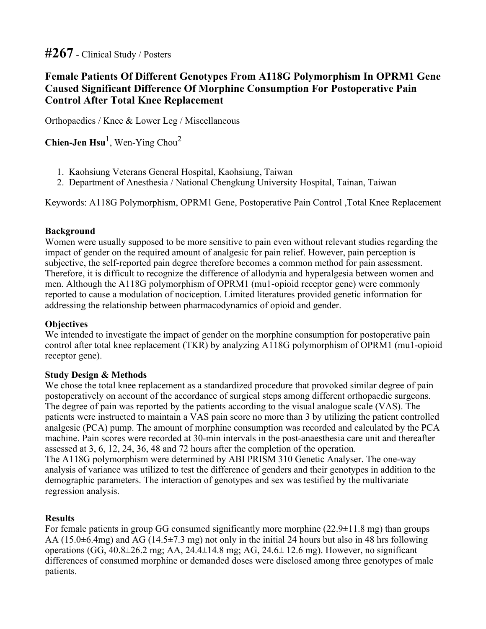# **#267 - Clinical Study / Posters**

## **Female Patients Of Different Genotypes From A118G Polymorphism In OPRM1 Gene Caused Significant Difference Of Morphine Consumption For Postoperative Pain Control After Total Knee Replacement**

**Orthopaedics / Knee & Lower Leg / Miscellaneous**

**Chien-Jen Hsu<sup>1</sup> , Wen-Ying Chou<sup>2</sup>**

- **1. Kaohsiung Veterans General Hospital, Kaohsiung, Taiwan**
- **2. Department of Anesthesia / National Chengkung University Hospital, Tainan, Taiwan**

**Keywords: A118G Polymorphism, OPRM1 Gene, Postoperative Pain Control ,Total Knee Replacement**

#### **Background**

**Women were usually supposed to be more sensitive to pain even without relevant studies regarding the impact of gender on the required amount of analgesic for pain relief. However, pain perception is subjective, the self-reported pain degree therefore becomes a common method for pain assessment. Therefore, it is difficult to recognize the difference of allodynia and hyperalgesia between women and men. Although the A118G polymorphism of OPRM1 (mu1-opioid receptor gene) were commonly reported to cause a modulation of nociception. Limited literatures provided genetic information for addressing the relationship between pharmacodynamics of opioid and gender.**

#### **Objectives**

**We intended to investigate the impact of gender on the morphine consumption for postoperative pain control after total knee replacement (TKR) by analyzing A118G polymorphism of OPRM1 (mu1-opioid receptor gene).**

#### **Study Design & Methods**

**We chose the total knee replacement as a standardized procedure that provoked similar degree of pain postoperatively on account of the accordance of surgical steps among different orthopaedic surgeons. The degree of pain was reported by the patients according to the visual analogue scale (VAS). The** patients were instructed to maintain a VAS pain score no more than 3 by utilizing the patient controlled **analgesic (PCA) pump. The amount of morphine consumption was recorded and calculated by the PCA machine. Pain scores were recorded at 30-min intervals in the post-anaesthesia care unit and thereafter assessed at 3, 6, 12, 24, 36, 48 and 72 hours after the completion of the operation. The A118G polymorphism were determined by ABI PRISM 310 Genetic Analyser. The one-way** analysis of variance was utilized to test the difference of genders and their genotypes in addition to the **demographic parameters. The interaction of genotypes and sex was testified by the multivariate regression analysis.**

#### **Results**

**For female patients in group GG consumed significantly more morphine (22.9±11.8 mg) than groups** AA (15.0±6.4mg) and AG (14.5±7.3 mg) not only in the initial 24 hours but also in 48 hrs following **operations (GG, 40.8±26.2 mg; AA, 24.4±14.8 mg; AG, 24.6± 12.6 mg). However, no significant differences of consumed morphine or demanded doses were disclosed among three genotypes of male patients.**